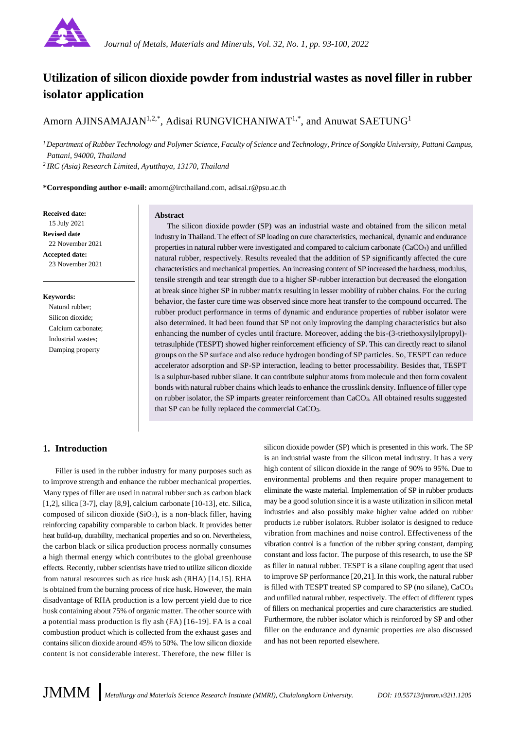

# **Utilization of silicon dioxide powder from industrial wastes as novel filler in rubber isolator application**

Amorn AJINSAMAJAN<sup>1,2,\*</sup>, Adisai RUNGVICHANIWAT<sup>1,\*</sup>, and Anuwat SAETUNG<sup>1</sup>

*<sup>1</sup>Department of Rubber Technology and Polymer Science, Faculty of Science and Technology, Prince of Songkla University, Pattani Campus, Pattani, 94000, Thailand*

*<sup>2</sup>IRC (Asia) Research Limited, Ayutthaya, 13170, Thailand*

**\*Corresponding author e-mail:** amorn@ircthailand.com, adisai.r@psu.ac.th

**Received date:** 15 July 2021 **Revised date** 22 November 2021 **Accepted date:** 23 November 2021

#### **Abstract**

The silicon dioxide powder (SP) was an industrial waste and obtained from the silicon metal industry in Thailand. The effect of SP loading on cure characteristics, mechanical, dynamic and endurance properties in natural rubber were investigated and compared to calcium carbonate (CaCO3) and unfilled natural rubber, respectively. Results revealed that the addition of SP significantly affected the cure characteristics and mechanical properties. An increasing content of SP increased the hardness, modulus, tensile strength and tear strength due to a higher SP-rubber interaction but decreased the elongation at break since higher SP in rubber matrix resulting in lesser mobility of rubber chains. For the curing behavior, the faster cure time was observed since more heat transfer to the compound occurred. The rubber product performance in terms of dynamic and endurance properties of rubber isolator were also determined. It had been found that SP not only improving the damping characteristics but also enhancing the number of cycles until fracture. Moreover, adding the bis-(3-triethoxysilylpropyl) tetrasulphide (TESPT) showed higher reinforcement efficiency of SP. This can directly react to silanol groups on the SP surface and also reduce hydrogen bonding of SP particles. So, TESPT can reduce accelerator adsorption and SP-SP interaction, leading to better processability. Besides that, TESPT is a sulphur-based rubber silane. It can contribute sulphur atoms from molecule and then form covalent bonds with natural rubber chains which leads to enhance the crosslink density. Influence of filler type on rubber isolator, the SP imparts greater reinforcement than CaCO3. All obtained results suggested that SP can be fully replaced the commercial CaCO3.

**Keywords:** Natural rubber; Silicon dioxide; Calcium carbonate; Industrial wastes; Damping property

# **1. Introduction**

Filler is used in the rubber industry for many purposes such as to improve strength and enhance the rubber mechanical properties. Many types of filler are used in natural rubber such as carbon black [1,2], silica [3-7], clay [8,9], calcium carbonate [10-13], etc. Silica, composed of silicon dioxide  $(SiO<sub>2</sub>)$ , is a non-black filler, having reinforcing capability comparable to carbon black. It provides better heat build-up, durability, mechanical properties and so on. Nevertheless, the carbon black or silica production process normally consumes a high thermal energy which contributes to the global greenhouse effects. Recently, rubber scientists have tried to utilize silicon dioxide from natural resources such as rice husk ash (RHA) [14,15]. RHA is obtained from the burning process of rice husk. However, the main disadvantage of RHA production is a low percent yield due to rice husk containing about 75% of organic matter. The other source with a potential mass production is fly ash (FA) [16-19]. FA is a coal combustion product which is collected from the exhaust gases and contains silicon dioxide around 45% to 50%. The low silicon dioxide content is not considerable interest. Therefore, the new filler is

silicon dioxide powder (SP) which is presented in this work. The SP is an industrial waste from the silicon metal industry. It has a very high content of silicon dioxide in the range of 90% to 95%. Due to environmental problems and then require proper management to eliminate the waste material. Implementation of SP in rubber products may be a good solution since it is a waste utilization in silicon metal industries and also possibly make higher value added on rubber products i.e rubber isolators. Rubber isolator is designed to reduce vibration from machines and noise control. Effectiveness of the vibration control is a function of the rubber spring constant, damping constant and loss factor. The purpose of this research, to use the SP as filler in natural rubber. TESPT is a silane coupling agent that used to improve SP performance [20,21]. In this work, the natural rubber is filled with TESPT treated SP compared to SP (no silane), CaCO<sup>3</sup> and unfilled natural rubber, respectively. The effect of different types of fillers on mechanical properties and cure characteristics are studied. Furthermore, the rubber isolator which is reinforced by SP and other filler on the endurance and dynamic properties are also discussed and has not been reported elsewhere.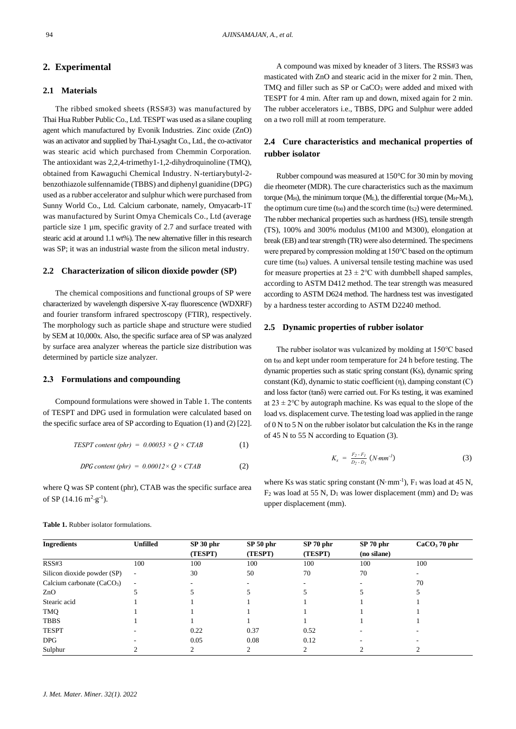# **2. Experimental**

# **2.1 Materials**

The ribbed smoked sheets (RSS#3) was manufactured by Thai Hua Rubber Public Co., Ltd. TESPT was used as a silane coupling agent which manufactured by Evonik Industries. Zinc oxide (ZnO) was an activator and supplied by Thai-Lysaght Co., Ltd., the co-activator was stearic acid which purchased from Chemmin Corporation. The antioxidant was 2,2,4-trimethy1-1,2-dihydroquinoline (TMQ), obtained from Kawaguchi Chemical Industry. N-tertiarybutyl-2 benzothiazole sulfennamide (TBBS) and diphenyl guanidine (DPG) used as a rubber accelerator and sulphur which were purchased from Sunny World Co., Ltd. Calcium carbonate, namely, Omyacarb-1T was manufactured by Surint Omya Chemicals Co., Ltd (average particle size 1 µm, specific gravity of 2.7 and surface treated with stearic acid at around 1.1 wt%). The new alternative filler in this research was SP; it was an industrial waste from the silicon metal industry.

#### **2.2 Characterization of silicon dioxide powder (SP)**

The chemical compositions and functional groups of SP were characterized by wavelength dispersive X-ray fluorescence (WDXRF) and fourier transform infrared spectroscopy (FTIR), respectively. The morphology such as particle shape and structure were studied by SEM at 10,000x. Also, the specific surface area of SP was analyzed by surface area analyzer whereas the particle size distribution was determined by particle size analyzer.

#### **2.3 Formulations and compounding**

Compound formulations were showed in Table 1. The contents of TESPT and DPG used in formulation were calculated based on the specific surface area of SP according to Equation (1) and (2) [22].

$$
TEST content (phr) = 0.00053 \times Q \times CTAB \tag{1}
$$

$$
DPG content (phr) = 0.00012 \times Q \times CTAB \tag{2}
$$

where Q was SP content (phr), CTAB was the specific surface area of SP  $(14.16 \text{ m}^2 \text{·g}^{-1})$ .

 A compound was mixed by kneader of 3 liters. The RSS#3 was masticated with ZnO and stearic acid in the mixer for 2 min. Then, TMO and filler such as SP or CaCO<sub>3</sub> were added and mixed with TESPT for 4 min. After ram up and down, mixed again for 2 min. The rubber accelerators i.e., TBBS, DPG and Sulphur were added on a two roll mill at room temperature.

# **2.4 Cure characteristics and mechanical properties of rubber isolator**

Rubber compound was measured at 150°C for 30 min by moving die rheometer (MDR). The cure characteristics such as the maximum torque ( $M_H$ ), the minimum torque ( $M_L$ ), the differential torque ( $M_H$ - $M_L$ ), the optimum cure time  $(t_{90})$  and the scorch time  $(t_{52})$  were determined. The rubber mechanical properties such as hardness (HS), tensile strength (TS), 100% and 300% modulus (M100 and M300), elongation at break (EB) and tear strength (TR) were also determined. The specimens were prepared by compression molding at 150℃ based on the optimum cure time  $(t_{90})$  values. A universal tensile testing machine was used for measure properties at  $23 \pm 2$ °C with dumbbell shaped samples, according to ASTM D412 method. The tear strength was measured according to ASTM D624 method. The hardness test was investigated by a hardness tester according to ASTM D2240 method.

#### **2.5 Dynamic properties of rubber isolator**

The rubber isolator was vulcanized by molding at 150℃ based on t<sup>90</sup> and kept under room temperature for 24 h before testing. The dynamic properties such as static spring constant (Ks), dynamic spring constant (Kd), dynamic to static coefficient (η), damping constant (C) and loss factor (tanδ) were carried out. For Ks testing, it was examined at  $23 \pm 2^{\circ}$ C by autograph machine. Ks was equal to the slope of the load vs. displacement curve. The testing load was applied in the range of 0 N to 5 N on the rubber isolator but calculation the Ks in the range of 45 N to 55 N according to Equation (3).

$$
K_s = \frac{F_2 - F_1}{D_2 - D_1} \ (N \cdot mm^{-1}) \tag{3}
$$

where Ks was static spring constant  $(N \cdot mm^{-1})$ ,  $F_1$  was load at 45 N,  $F_2$  was load at 55 N,  $D_1$  was lower displacement (mm) and  $D_2$  was upper displacement (mm).

| <b>Ingredients</b>          | <b>Unfilled</b> | SP 30 phr | SP <sub>50</sub> phr | SP 70 phr | SP 70 phr   | $CaCO3$ 70 phr |
|-----------------------------|-----------------|-----------|----------------------|-----------|-------------|----------------|
|                             |                 | (TESPT)   | (TESPT)              | (TESPT)   | (no silane) |                |
| RSS#3                       | 100             | 100       | 100                  | 100       | 100         | 100            |
| Silicon dioxide powder (SP) | $\sim$          | 30        | 50                   | 70        | 70          | ۰              |
| Calcium carbonate $(CaCO3)$ | $\sim$          |           |                      |           |             | 70             |
| ZnO                         |                 |           |                      |           |             |                |
| Stearic acid                |                 |           |                      |           |             |                |
| TMQ                         |                 |           |                      |           |             |                |
| <b>TBBS</b>                 |                 |           |                      |           |             |                |
| <b>TESPT</b>                |                 | 0.22      | 0.37                 | 0.52      |             |                |
| DPG                         |                 | 0.05      | 0.08                 | 0.12      |             |                |
| Sulphur                     |                 | ◠         |                      |           |             |                |

**Table 1.** Rubber isolator formulations.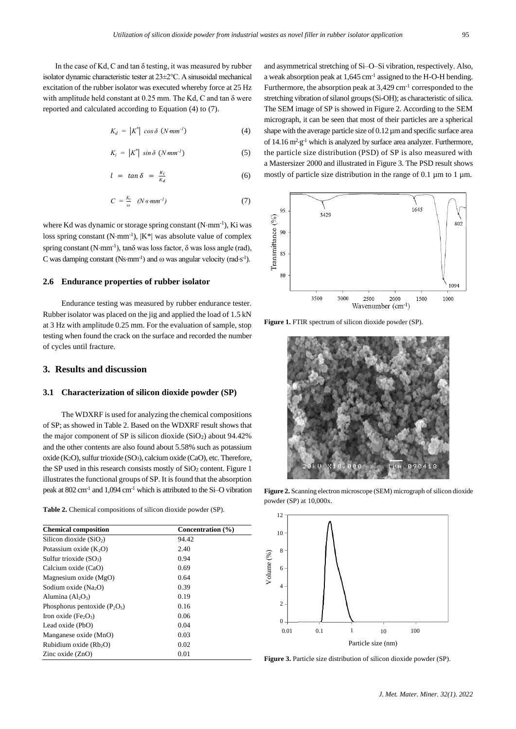In the case of Kd, C and tan  $\delta$  testing, it was measured by rubber isolator dynamic characteristic tester at 23±2℃. A sinusoidal mechanical excitation of the rubber isolator was executed whereby force at 25 Hz with amplitude held constant at 0.25 mm. The Kd, C and tan δ were reported and calculated according to Equation (4) to (7).

$$
K_d = \left|K^*\right| \cos \delta \, \left(N \, \text{mm}^{-1}\right) \tag{4}
$$

$$
K_i = \left|K^*\right| \sin \delta \, \left(N \, \text{mm}^{-1}\right) \tag{5}
$$

$$
l = \tan \delta = \frac{\kappa_i}{\kappa_d} \tag{6}
$$

$$
C = \frac{K_i}{\omega} \quad (N \, s \, mm^{-1}) \tag{7}
$$

where Kd was dynamic or storage spring constant (N·mm<sup>-1</sup>), Ki was loss spring constant (N·mm<sup>-1</sup>),  $|K^*|$  was absolute value of complex spring constant (N·mm<sup>-1</sup>), tan $\delta$  was loss factor,  $\delta$  was loss angle (rad), C was damping constant (Ns·mm<sup>-1</sup>) and  $\omega$  was angular velocity (rad·s<sup>-1</sup>).

#### **2.6 Endurance properties of rubber isolator**

Endurance testing was measured by rubber endurance tester. Rubber isolator was placed on the jig and applied the load of 1.5 kN at 3 Hz with amplitude 0.25 mm. For the evaluation of sample, stop testing when found the crack on the surface and recorded the number of cycles until fracture.

## **3. Results and discussion**

#### **3.1 Characterization of silicon dioxide powder (SP)**

The WDXRF is used for analyzing the chemical compositions of SP; as showed in Table 2. Based on the WDXRF result shows that the major component of SP is silicon dioxide  $(SiO<sub>2</sub>)$  about 94.42% and the other contents are also found about 5.58% such as potassium oxide (K2O), sulfur trioxide (SO3), calcium oxide (CaO), etc. Therefore, the SP used in this research consists mostly of  $SiO<sub>2</sub>$  content. Figure 1 illustrates the functional groups of SP. It is found that the absorption peak at 802 cm<sup>-1</sup> and 1,094 cm<sup>-1</sup> which is attributed to the Si-O vibration

**Table 2.** Chemical compositions of silicon dioxide powder (SP).

| <b>Chemical composition</b>                  | Concentration (%) |  |  |
|----------------------------------------------|-------------------|--|--|
| Silicon dioxide $(SiO2)$                     | 94.42             |  |  |
| Potassium oxide $(K_2O)$                     | 2.40              |  |  |
| Sulfur trioxide $(SO_3)$                     | 0.94              |  |  |
| Calcium oxide (CaO)                          | 0.69              |  |  |
| Magnesium oxide $(MgO)$                      | 0.64              |  |  |
| Sodium oxide (Na <sub>2</sub> O)             | 0.39              |  |  |
| Alumina $(Al_2O_3)$                          | 0.19              |  |  |
| Phosphorus pentoxide $(P_2O_5)$              | 0.16              |  |  |
| Iron oxide (Fe <sub>2</sub> O <sub>3</sub> ) | 0.06              |  |  |
| Lead oxide (PbO)                             | 0.04              |  |  |
| Manganese oxide (MnO)                        | 0.03              |  |  |
| Rubidium oxide (Rb <sub>2</sub> O)           | 0.02              |  |  |
| Zinc oxide $(ZnO)$                           | 0.01              |  |  |

and asymmetrical stretching of Si–O–Si vibration, respectively. Also, a weak absorption peak at 1,645 cm<sup>-1</sup> assigned to the H-O-H bending. Furthermore, the absorption peak at  $3,429$  cm<sup>-1</sup> corresponded to the stretching vibration of silanol groups (Si-OH); as characteristic of silica. The SEM image of SP is showed in Figure 2. According to the SEM micrograph, it can be seen that most of their particles are a spherical shape with the average particle size of 0.12  $\mu$ m and specific surface area of 14.16  $m^2$  g<sup>-1</sup> which is analyzed by surface area analyzer. Furthermore, the particle size distribution (PSD) of SP is also measured with a Mastersizer 2000 and illustrated in Figure 3. The PSD result shows mostly of particle size distribution in the range of 0.1  $\mu$ m to 1  $\mu$ m.



**Figure 1.** FTIR spectrum of silicon dioxide powder (SP).



**Figure 2.** Scanning electron microscope (SEM) micrograph of silicon dioxide powder (SP) at 10,000x.



**Figure 3.** Particle size distribution of silicon dioxide powder (SP).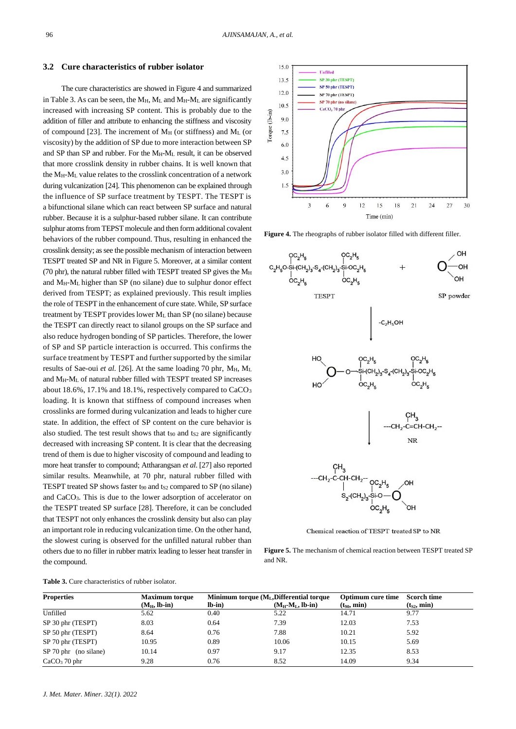#### **3.2 Cure characteristics of rubber isolator**

The cure characteristics are showed in Figure 4 and summarized in Table 3. As can be seen, the  $M_H$ ,  $M_L$  and  $M_H$ - $M_L$  are significantly increased with increasing SP content. This is probably due to the addition of filler and attribute to enhancing the stiffness and viscosity of compound [23]. The increment of  $M_H$  (or stiffness) and  $M_L$  (or viscosity) by the addition of SP due to more interaction between SP and SP than SP and rubber. For the  $M_H-M_L$  result, it can be observed that more crosslink density in rubber chains. It is well known that the MH-M<sup>L</sup> value relates to the crosslink concentration of a network during vulcanization [24]. This phenomenon can be explained through the influence of SP surface treatment by TESPT. The TESPT is a bifunctional silane which can react between SP surface and natural rubber. Because it is a sulphur-based rubber silane. It can contribute sulphur atoms from TEPST molecule and then form additional covalent behaviors of the rubber compound. Thus, resulting in enhanced the crosslink density; as see the possible mechanism of interaction between TESPT treated SP and NR in Figure 5. Moreover, at a similar content (70 phr), the natural rubber filled with TESPT treated SP gives the  $M_H$ and MH-ML higher than SP (no silane) due to sulphur donor effect derived from TESPT; as explained previously. This result implies the role of TESPT in the enhancement of cure state. While, SP surface treatment by TESPT provides lower M<sup>L</sup> than SP (no silane) because the TESPT can directly react to silanol groups on the SP surface and also reduce hydrogen bonding of SP particles. Therefore, the lower of SP and SP particle interaction is occurred. This confirms the surface treatment by TESPT and further supported by the similar results of Sae-oui *et al.* [26]. At the same loading 70 phr, M<sub>H</sub>, M<sub>L</sub> and  $M_H-M_L$  of natural rubber filled with TESPT treated SP increases about 18.6%, 17.1% and 18.1%, respectively compared to CaCO<sub>3</sub> loading. It is known that stiffness of compound increases when crosslinks are formed during vulcanization and leads to higher cure state. In addition, the effect of SP content on the cure behavior is also studied. The test result shows that t $_{90}$  and ts<sub>2</sub> are significantly decreased with increasing SP content. It is clear that the decreasing trend of them is due to higher viscosity of compound and leading to more heat transfer to compound; Attharangsan *et al*. [27] also reported similar results. Meanwhile, at 70 phr, natural rubber filled with TESPT treated SP shows faster  $t_{90}$  and  $t_{S2}$  compared to SP (no silane) and CaCO3. This is due to the lower adsorption of accelerator on the TESPT treated SP surface [28]. Therefore, it can be concluded that TESPT not only enhances the crosslink density but also can play an important role in reducing vulcanization time. On the other hand, the slowest curing is observed for the unfilled natural rubber than others due to no filler in rubber matrix leading to lesser heat transfer in the compound.



**Figure 4.** The rheographs of rubber isolator filled with different filler.



Chemical reaction of TESPT treated SP to NR

**Figure 5.** The mechanism of chemical reaction between TESPT treated SP and NR.

| <b>Table 3.</b> Cure characteristics of rubber isolator. |  |
|----------------------------------------------------------|--|
|----------------------------------------------------------|--|

| <b>Properties</b>       | <b>Maximum torque</b> |         | Minimum torque $(M_L,$ Differential torque | <b>Optimum cure time</b> | <b>Scorch time</b> |
|-------------------------|-----------------------|---------|--------------------------------------------|--------------------------|--------------------|
|                         | $(M_H, lb-in)$        | $lb-in$ | $(M_H-M_L, lb-in)$                         | $(t_{90}, min)$          | $(t_{S2}, min)$    |
| Unfilled                | 5.62                  | 0.40    | 5.22                                       | 14.71                    | 9.77               |
| SP 30 phr (TESPT)       | 8.03                  | 0.64    | 7.39                                       | 12.03                    | 7.53               |
| SP 50 phr (TESPT)       | 8.64                  | 0.76    | 7.88                                       | 10.21                    | 5.92               |
| SP 70 phr (TESPT)       | 10.95                 | 0.89    | 10.06                                      | 10.15                    | 5.69               |
| $SP 70$ phr (no silane) | 10.14                 | 0.97    | 9.17                                       | 12.35                    | 8.53               |
| $CaCO3$ 70 phr          | 9.28                  | 0.76    | 8.52                                       | 14.09                    | 9.34               |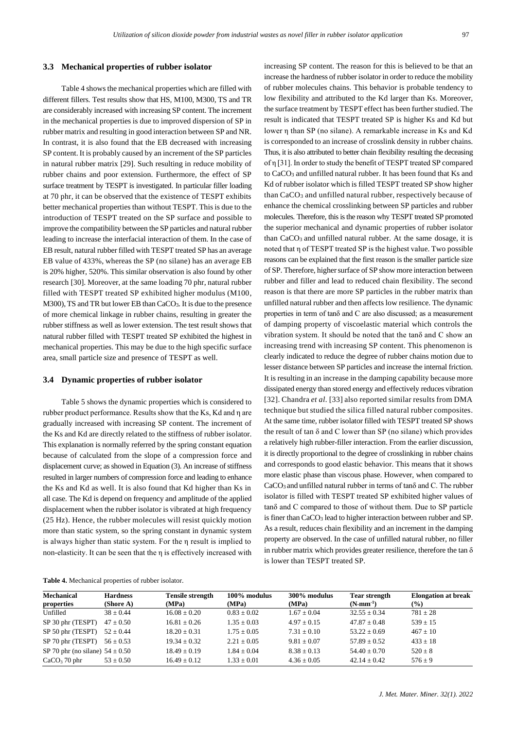#### **3.3 Mechanical properties of rubber isolator**

Table 4 shows the mechanical properties which are filled with different fillers. Test results show that HS, M100, M300, TS and TR are considerably increased with increasing SP content. The increment in the mechanical properties is due to improved dispersion of SP in rubber matrix and resulting in good interaction between SP and NR. In contrast, it is also found that the EB decreased with increasing SP content. It is probably caused by an increment of the SP particles in natural rubber matrix [29]. Such resulting in reduce mobility of rubber chains and poor extension. Furthermore, the effect of SP surface treatment by TESPT is investigated. In particular filler loading at 70 phr, it can be observed that the existence of TESPT exhibits better mechanical properties than without TESPT. This is due to the introduction of TESPT treated on the SP surface and possible to improve the compatibility between the SP particles and natural rubber leading to increase the interfacial interaction of them. In the case of EB result, natural rubber filled with TESPT treated SP has an average EB value of 433%, whereas the SP (no silane) has an average EB is 20% higher, 520%. This similar observation is also found by other research [30]. Moreover, at the same loading 70 phr, natural rubber filled with TESPT treated SP exhibited higher modulus (M100, M300), TS and TR but lower EB than CaCO3. It is due to the presence of more chemical linkage in rubber chains, resulting in greater the rubber stiffness as well as lower extension. The test result shows that natural rubber filled with TESPT treated SP exhibited the highest in mechanical properties. This may be due to the high specific surface area, small particle size and presence of TESPT as well.

#### **3.4 Dynamic properties of rubber isolator**

Table 5 shows the dynamic properties which is considered to rubber product performance. Results show that the Ks, Kd and η are gradually increased with increasing SP content. The increment of the Ks and Kd are directly related to the stiffness of rubber isolator. This explanation is normally referred by the spring constant equation because of calculated from the slope of a compression force and displacement curve; as showed in Equation (3). An increase of stiffness resulted in larger numbers of compression force and leading to enhance the Ks and Kd as well. It is also found that Kd higher than Ks in all case. The Kd is depend on frequency and amplitude of the applied displacement when the rubber isolator is vibrated at high frequency (25 Hz). Hence, the rubber molecules will resist quickly motion more than static system, so the spring constant in dynamic system is always higher than static system. For the η result is implied to non-elasticity. It can be seen that the η is effectively increased with increasing SP content. The reason for this is believed to be that an increase the hardness of rubber isolator in order to reduce the mobility of rubber molecules chains. This behavior is probable tendency to low flexibility and attributed to the Kd larger than Ks. Moreover, the surface treatment by TESPT effect has been further studied. The result is indicated that TESPT treated SP is higher Ks and Kd but lower η than SP (no silane). A remarkable increase in Ks and Kd is corresponded to an increase of crosslink density in rubber chains. Thus, it is also attributed to better chain flexibility resulting the deceasing of η [31]. In order to study the benefit of TESPT treated SP compared to CaCO<sup>3</sup> and unfilled natural rubber. It has been found that Ks and Kd of rubber isolator which is filled TESPT treated SP show higher than CaCO<sup>3</sup> and unfilled natural rubber, respectively because of enhance the chemical crosslinking between SP particles and rubber molecules. Therefore, this is the reason why TESPT treated SP promoted the superior mechanical and dynamic properties of rubber isolator than CaCO3 and unfilled natural rubber. At the same dosage, it is noted that η of TESPT treated SP is the highest value. Two possible reasons can be explained that the first reason is the smaller particle size of SP. Therefore, higher surface of SP show more interaction between rubber and filler and lead to reduced chain flexibility. The second reason is that there are more SP particles in the rubber matrix than unfilled natural rubber and then affects low resilience. The dynamic properties in term of tanδ and C are also discussed; as a measurement of damping property of viscoelastic material which controls the vibration system. It should be noted that the tanδ and C show an increasing trend with increasing SP content. This phenomenon is clearly indicated to reduce the degree of rubber chains motion due to lesser distance between SP particles and increase the internal friction. It is resulting in an increase in the damping capability because more dissipated energy than stored energy and effectively reduces vibration [32]. Chandra *et al.* [33] also reported similar results from DMA technique but studied the silica filled natural rubber composites. At the same time, rubber isolator filled with TESPT treated SP shows the result of tan  $\delta$  and C lower than SP (no silane) which provides a relatively high rubber-filler interaction. From the earlier discussion, it is directly proportional to the degree of crosslinking in rubber chains and corresponds to good elastic behavior. This means that it shows more elastic phase than viscous phase. However, when compared to CaCO3 and unfilled natural rubber in terms of tanδ and C. The rubber isolator is filled with TESPT treated SP exhibited higher values of tanδ and C compared to those of without them. Due to SP particle is finer than CaCO<sup>3</sup> lead to higher interaction between rubber and SP. As a result, reduces chain flexibility and an increment in the damping property are observed. In the case of unfilled natural rubber, no filler in rubber matrix which provides greater resilience, therefore the tan  $\delta$ is lower than TESPT treated SP.

**Table 4.** Mechanical properties of rubber isolator.

| <b>Mechanical</b><br>properties     | <b>Hardness</b><br>(Shore A) | <b>Tensile strength</b><br>(MPa) | 100% modulus<br>(MPa) | 300% modulus<br>(MPa) | <b>Tear strength</b><br>$(N·mm-1)$ | <b>Elongation at break</b><br>$(\%)$ |
|-------------------------------------|------------------------------|----------------------------------|-----------------------|-----------------------|------------------------------------|--------------------------------------|
| Unfilled                            | $38 + 0.44$                  | $16.08 + 0.20$                   | $0.83 \pm 0.02$       | $1.67 + 0.04$         | $32.55 \pm 0.34$                   | $781 \pm 28$                         |
| SP 30 phr (TESPT)                   | $47 \pm 0.50$                | $16.81 + 0.26$                   | $1.35 + 0.03$         | $4.97 + 0.15$         | $47.87 + 0.48$                     | $539 + 15$                           |
| SP 50 phr (TESPT)                   | $52 \pm 0.44$                | $18.20 \pm 0.31$                 | $1.75 \pm 0.05$       | $7.31 \pm 0.10$       | $53.22 \pm 0.69$                   | $467 \pm 10$                         |
| SP 70 phr (TESPT)                   | $56 \pm 0.53$                | $19.34 \pm 0.32$                 | $2.21 \pm 0.05$       | $9.81 + 0.07$         | $57.89 \pm 0.52$                   | $433 \pm 18$                         |
| SP 70 phr (no silane) $54 \pm 0.50$ |                              | $18.49 + 0.19$                   | $1.84 + 0.04$         | $8.38 + 0.13$         | $54.40 + 0.70$                     | $520 \pm 8$                          |
| $CaCO3$ 70 phr                      | $53 \pm 0.50$                | $16.49 \pm 0.12$                 | $1.33 \pm 0.01$       | $4.36 \pm 0.05$       | $42.14 \pm 0.42$                   | $576 \pm 9$                          |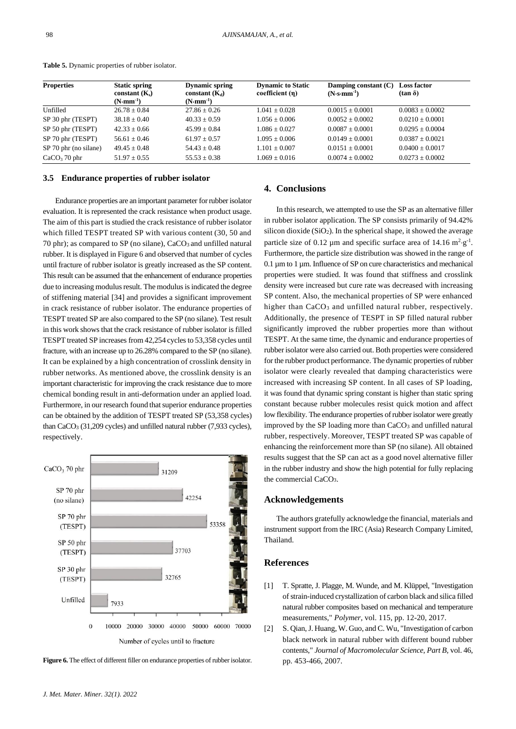| <b>Properties</b>     | <b>Static spring</b><br>constant $(K_s)$ | <b>Dynamic spring</b><br>constant $(K_d)$ | <b>Dynamic to Static</b><br>coefficient $(\eta)$ | Damping constant $(C)$<br>$(N \cdot s \cdot mm^{-1})$ | <b>Loss factor</b><br>$(\tan \delta)$ |
|-----------------------|------------------------------------------|-------------------------------------------|--------------------------------------------------|-------------------------------------------------------|---------------------------------------|
|                       | $(N \cdot \text{mm}^{-1})$               | $(N \cdot \text{mm}^{-1})$                |                                                  |                                                       |                                       |
| Unfilled              | $26.78 + 0.84$                           | $27.86 \pm 0.26$                          | $1.041 + 0.028$                                  | $0.0015 + 0.0001$                                     | $0.0083 + 0.0002$                     |
| SP 30 phr (TESPT)     | $38.18 + 0.40$                           | $40.33 + 0.59$                            | $1.056 + 0.006$                                  | $0.0052 + 0.0002$                                     | $0.0210 + 0.0001$                     |
| SP 50 phr (TESPT)     | $42.33 + 0.66$                           | $45.99 + 0.84$                            | $1.086 + 0.027$                                  | $0.0087 + 0.0001$                                     | $0.0295 + 0.0004$                     |
| SP 70 phr (TESPT)     | $56.61 \pm 0.46$                         | $61.97 \pm 0.57$                          | $1.095 + 0.006$                                  | $0.0149 \pm 0.0001$                                   | $0.0387 + 0.0021$                     |
| SP 70 phr (no silane) | $49.45 + 0.48$                           | $54.43 + 0.48$                            | $1.101 + 0.007$                                  | $0.0151 + 0.0001$                                     | $0.0400 + 0.0017$                     |
| $CaCO3$ 70 phr        | $51.97 \pm 0.55$                         | $55.53 \pm 0.38$                          | $1.069 + 0.016$                                  | $0.0074 + 0.0002$                                     | $0.0273 \pm 0.0002$                   |

**Table 5.** Dynamic properties of rubber isolator.

#### **3.5 Endurance properties of rubber isolator**

Endurance properties are an important parameter for rubber isolator evaluation. It is represented the crack resistance when product usage. The aim of this part is studied the crack resistance of rubber isolator which filled TESPT treated SP with various content (30, 50 and 70 phr); as compared to SP (no silane),  $CaCO<sub>3</sub>$  and unfilled natural rubber. It is displayed in Figure 6 and observed that number of cycles until fracture of rubber isolator is greatly increased as the SP content. This result can be assumed that the enhancement of endurance properties due to increasing modulus result. The modulus is indicated the degree of stiffening material [34] and provides a significant improvement in crack resistance of rubber isolator. The endurance properties of TESPT treated SP are also compared to the SP (no silane). Test result in this work shows that the crack resistance of rubber isolator is filled TESPT treated SP increases from 42,254 cycles to 53,358 cycles until fracture, with an increase up to 26.28% compared to the SP (no silane). It can be explained by a high concentration of crosslink density in rubber networks. As mentioned above, the crosslink density is an important characteristic for improving the crack resistance due to more chemical bonding result in anti-deformation under an applied load. Furthermore, in our research found that superior endurance properties can be obtained by the addition of TESPT treated SP (53,358 cycles) than CaCO<sup>3</sup> (31,209 cycles) and unfilled natural rubber (7,933 cycles), respectively.



**Figure 6.** The effect of different filler on endurance properties of rubber isolator.

# **4. Conclusions**

In this research, we attempted to use the SP as an alternative filler in rubber isolator application. The SP consists primarily of 94.42% silicon dioxide (SiO<sub>2</sub>). In the spherical shape, it showed the average particle size of 0.12  $\mu$ m and specific surface area of 14.16 m<sup>2</sup>·g<sup>-1</sup>. Furthermore, the particle size distribution was showed in the range of  $0.1 \mu$ m to 1  $\mu$ m. Influence of SP on cure characteristics and mechanical properties were studied. It was found that stiffness and crosslink density were increased but cure rate was decreased with increasing SP content. Also, the mechanical properties of SP were enhanced higher than CaCO<sub>3</sub> and unfilled natural rubber, respectively. Additionally, the presence of TESPT in SP filled natural rubber significantly improved the rubber properties more than without TESPT. At the same time, the dynamic and endurance properties of rubber isolator were also carried out. Both properties were considered for the rubber product performance. The dynamic properties of rubber isolator were clearly revealed that damping characteristics were increased with increasing SP content. In all cases of SP loading, it was found that dynamic spring constant is higher than static spring constant because rubber molecules resist quick motion and affect low flexibility. The endurance properties of rubber isolator were greatly improved by the SP loading more than  $CaCO<sub>3</sub>$  and unfilled natural rubber, respectively. Moreover, TESPT treated SP was capable of enhancing the reinforcement more than SP (no silane). All obtained results suggest that the SP can act as a good novel alternative filler in the rubber industry and show the high potential for fully replacing the commercial CaCO3.

#### **Acknowledgements**

The authors gratefully acknowledge the financial, materials and instrument support from the IRC (Asia) Research Company Limited, Thailand.

### **References**

- [1] T. Spratte, J. Plagge, M. Wunde, and M. Klüppel, "Investigation of strain-induced crystallization of carbon black and silica filled natural rubber composites based on mechanical and temperature measurements," *Polymer*, vol. 115, pp. 12-20, 2017.
- [2] S. Qian, J. Huang, W. Guo, and C. Wu, "Investigation of carbon black network in natural rubber with different bound rubber contents," *Journal of Macromolecular Science, Part B*, vol. 46, pp. 453-466, 2007.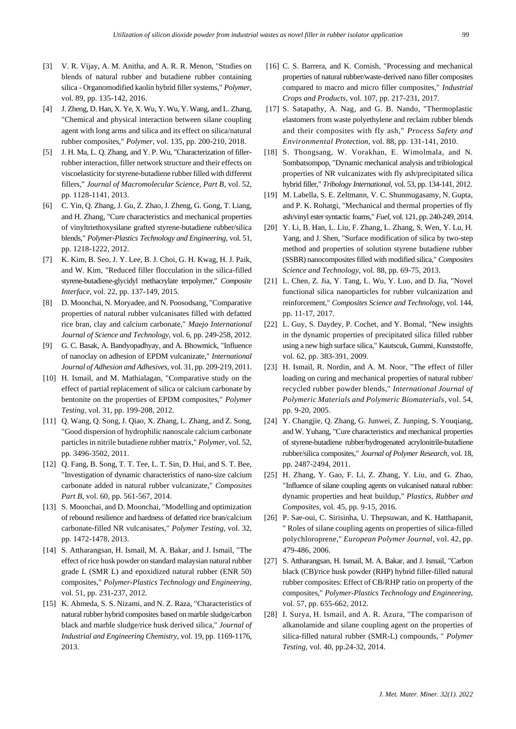- [3] V. R. Vijay, A. M. Anitha, and A. R. R. Menon, "Studies on blends of natural rubber and butadiene rubber containing silica - Organomodified kaolin hybrid filler systems," *Polymer*, vol. 89, pp. 135-142, 2016.
- [4] J. Zheng, D. Han, X. Ye, X. Wu, Y. Wu, Y. Wang, and L. Zhang, "Chemical and physical interaction between silane coupling agent with long arms and silica and its effect on silica/natural rubber composites," *Polymer*, vol. 135, pp. 200-210, 2018.
- [5] J. H. Ma, L. Q. Zhang, and Y. P. Wu, "Characterization of fillerrubber interaction, filler network structure and their effects on viscoelasticity for styrene-butadiene rubber filled with different fillers," *Journal of Macromolecular Science, Part B*, vol. 52, pp. 1128-1141, 2013.
- [6] C. Yin, Q. Zhang, J. Gu, Z. Zhao, J. Zheng, G. Gong, T. Liang, and H. Zhang, "Cure characteristics and mechanical properties of vinyltriethoxysilane grafted styrene-butadiene rubber/silica blends," *Polymer-Plastics Technology and Engineering*, vol. 51, pp. 1218-1222, 2012.
- [7] K. Kim, B. Seo, J. Y. Lee, B. J. Choi, G. H. Kwag, H. J. Paik, and W. Kim, "Reduced filler flocculation in the silica-filled styrene-butadiene-glycidyl methacrylate terpolymer," *Composite Interface*, vol. 22, pp. 137-149, 2015.
- [8] D. Moonchai, N. Moryadee, and N. Poosodsang, "Comparative properties of natural rubber vulcanisates filled with defatted rice bran, clay and calcium carbonate," *Maejo International Journal of Science and Technology*, vol. 6, pp. 249-258, 2012.
- [9] G. C. Basak, A. Bandyopadhyay, and A. Bhowmick, "Influence of nanoclay on adhesion of EPDM vulcanizate," *International Journal of Adhesion and Adhesives*, vol. 31, pp. 209-219, 2011.
- [10] H. Ismail, and M. Mathialagan, "Comparative study on the effect of partial replacement of silica or calcium carbonate by bentonite on the properties of EPDM composites," *Polymer Testing*, vol. 31, pp. 199-208, 2012.
- [11] Q. Wang, Q. Song, J. Qiao, X. Zhang, L. Zhang, and Z. Song, "Good dispersion of hydrophilic nanoscale calcium carbonate particles in nitrile butadiene rubber matrix," *Polymer*, vol. 52, pp. 3496-3502, 2011.
- [12] O. Fang, B. Song, T. T. Tee, L. T. Sin, D. Hui, and S. T. Bee, "Investigation of dynamic characteristics of nano-size calcium carbonate added in natural rubber vulcanizate," *Composites Part B*, vol. 60, pp. 561-567, 2014.
- [13] S. Moonchai, and D. Moonchai, "Modelling and optimization of rebound resilience and hardness of defatted rice bran/calcium carbonate-filled NR vulcanisates," *Polymer Testing*, vol. 32, pp. 1472-1478, 2013.
- [14] S. Attharangsan, H. Ismail, M. A. Bakar, and J. Ismail, "The effect of rice husk powder on standard malaysian natural rubber grade L (SMR L) and epoxidized natural rubber (ENR 50) composites," *Polymer-Plastics Technology and Engineering*, vol. 51, pp. 231-237, 2012.
- [15] K. Ahmeda, S. S. Nizami, and N. Z. Raza, "Characteristics of natural rubber hybrid composites based on marble sludge/carbon black and marble sludge/rice husk derived silica," *Journal of Industrial and Engineering Chemistry*, vol. 19, pp. 1169-1176, 2013.
- [16] C. S. Barrera, and K. Cornish, "Processing and mechanical properties of natural rubber/waste-derived nano filler composites compared to macro and micro filler composites," *Industrial Crops and Products*, vol. 107, pp. 217-231, 2017.
- [17] S. Satapathy, A. Nag, and G. B. Nando, "Thermoplastic elastomers from waste polyethylene and reclaim rubber blends and their composites with fly ash," *Process Safety and Environmental Protection*, vol. 88, pp. 131-141, 2010.
- [18] S. Thongsang, W. Vorakhan, E. Wimolmala, and N. Sombatsompop, "Dynamic mechanical analysis and tribiological properties of NR vulcanizates with fly ash/precipitated silica hybrid filler," *Tribology International*, vol. 53, pp. 134-141, 2012.
- [19] M. Labella, S. E. Zeltmann, V. C. Shunmugasamy, N. Gupta, and P. K. Rohatgi, "Mechanical and thermal properties of fly ash/vinyl ester syntactic foams," *Fuel*, vol. 121, pp. 240-249, 2014.
- [20] Y. Li, B. Han, L. Liu, F. Zhang, L. Zhang, S. Wen, Y. Lu, H. Yang, and J. Shen, "Surface modification of silica by two-step method and properties of solution styrene butadiene rubber (SSBR) nanocomposites filled with modified silica," *Composites Science and Technology*, vol. 88, pp. 69-75, 2013.
- [21] L. Chen, Z. Jia, Y. Tang, L. Wu, Y. Luo, and D. Jia, "Novel functional silica nanoparticles for rubber vulcanization and reinforcement," *Composites Science and Technology*, vol. 144, pp. 11-17, 2017.
- [22] L. Guy, S. Daydey, P. Cochet, and Y. Bomal, "New insights in the dynamic properties of precipitated silica filled rubber using a new high surface silica," Kautscuk, Gummi, Kunststoffe, vol. 62, pp. 383-391, 2009.
- [23] H. Ismail, R. Nordin, and A. M. Noor, "The effect of filler loading on curing and mechanical properties of natural rubber/ recycled rubber powder blends," *International Journal of Polymeric Materials and Polymeric Biomaterials*, vol. 54, pp. 9-20, 2005.
- [24] Y. Changjie, Q. Zhang, G. Junwei, Z. Junping, S. Youqiang, and W. Yuhang, "Cure characteristics and mechanical properties of styrene-butadiene rubber/hydrogenated acrylonitrile-butadiene rubber/silica composites," *Journal of Polymer Research*, vol. 18, pp. 2487-2494, 2011.
- [25] H. Zhang, Y. Gao, F. Li, Z. Zhang, Y. Liu, and G. Zhao, "Influence of silane coupling agents on vulcanised natural rubber: dynamic properties and heat buildup," *Plastics, Rubber and Composites*, vol. 45, pp. 9-15, 2016.
- [26] P. Sae-oui, C. Sirisinha, U. Thepsuwan, and K. Hatthapanit, " Roles of silane coupling agents on properties of silica-filled polychloroprene," *European Polymer Journal*, vol. 42, pp. 479-486, 2006.
- [27] S. Attharangsan, H. Ismail, M. A. Bakar, and J. Ismail, "Carbon black (CB)/rice husk powder (RHP) hybrid filler-filled natural rubber composites: Effect of CB/RHP ratio on property of the composites," *Polymer-Plastics Technology and Engineering*, vol. 57, pp. 655-662, 2012.
- [28] I. Surya, H. Ismail, and A. R. Azura, "The comparison of alkanolamide and silane coupling agent on the properties of silica-filled natural rubber (SMR-L) compounds, " *Polymer Testing*, vol. 40, pp.24-32, 2014.